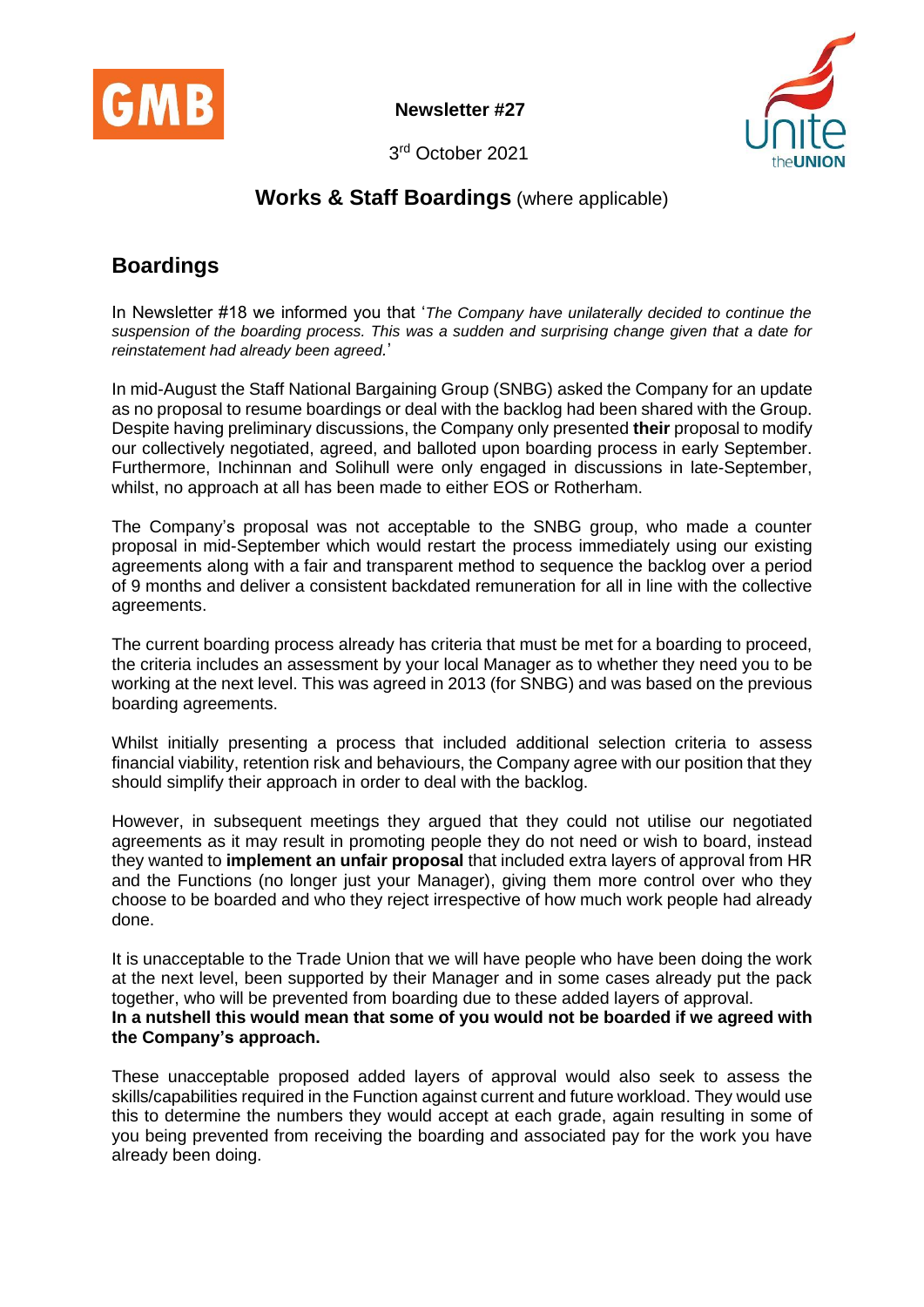

**Newsletter #27**



3 rd October 2021

## **Works & Staff Boardings** (where applicable)

## **Boardings**

In Newsletter #18 we informed you that '*The Company have unilaterally decided to continue the suspension of the boarding process. This was a sudden and surprising change given that a date for reinstatement had already been agreed.*'

In mid-August the Staff National Bargaining Group (SNBG) asked the Company for an update as no proposal to resume boardings or deal with the backlog had been shared with the Group. Despite having preliminary discussions, the Company only presented **their** proposal to modify our collectively negotiated, agreed, and balloted upon boarding process in early September. Furthermore, Inchinnan and Solihull were only engaged in discussions in late-September, whilst, no approach at all has been made to either EOS or Rotherham.

The Company's proposal was not acceptable to the SNBG group, who made a counter proposal in mid-September which would restart the process immediately using our existing agreements along with a fair and transparent method to sequence the backlog over a period of 9 months and deliver a consistent backdated remuneration for all in line with the collective agreements.

The current boarding process already has criteria that must be met for a boarding to proceed, the criteria includes an assessment by your local Manager as to whether they need you to be working at the next level. This was agreed in 2013 (for SNBG) and was based on the previous boarding agreements.

Whilst initially presenting a process that included additional selection criteria to assess financial viability, retention risk and behaviours, the Company agree with our position that they should simplify their approach in order to deal with the backlog.

However, in subsequent meetings they argued that they could not utilise our negotiated agreements as it may result in promoting people they do not need or wish to board, instead they wanted to **implement an unfair proposal** that included extra layers of approval from HR and the Functions (no longer just your Manager), giving them more control over who they choose to be boarded and who they reject irrespective of how much work people had already done.

It is unacceptable to the Trade Union that we will have people who have been doing the work at the next level, been supported by their Manager and in some cases already put the pack together, who will be prevented from boarding due to these added layers of approval. **In a nutshell this would mean that some of you would not be boarded if we agreed with the Company's approach.**

These unacceptable proposed added layers of approval would also seek to assess the skills/capabilities required in the Function against current and future workload. They would use this to determine the numbers they would accept at each grade, again resulting in some of you being prevented from receiving the boarding and associated pay for the work you have already been doing.